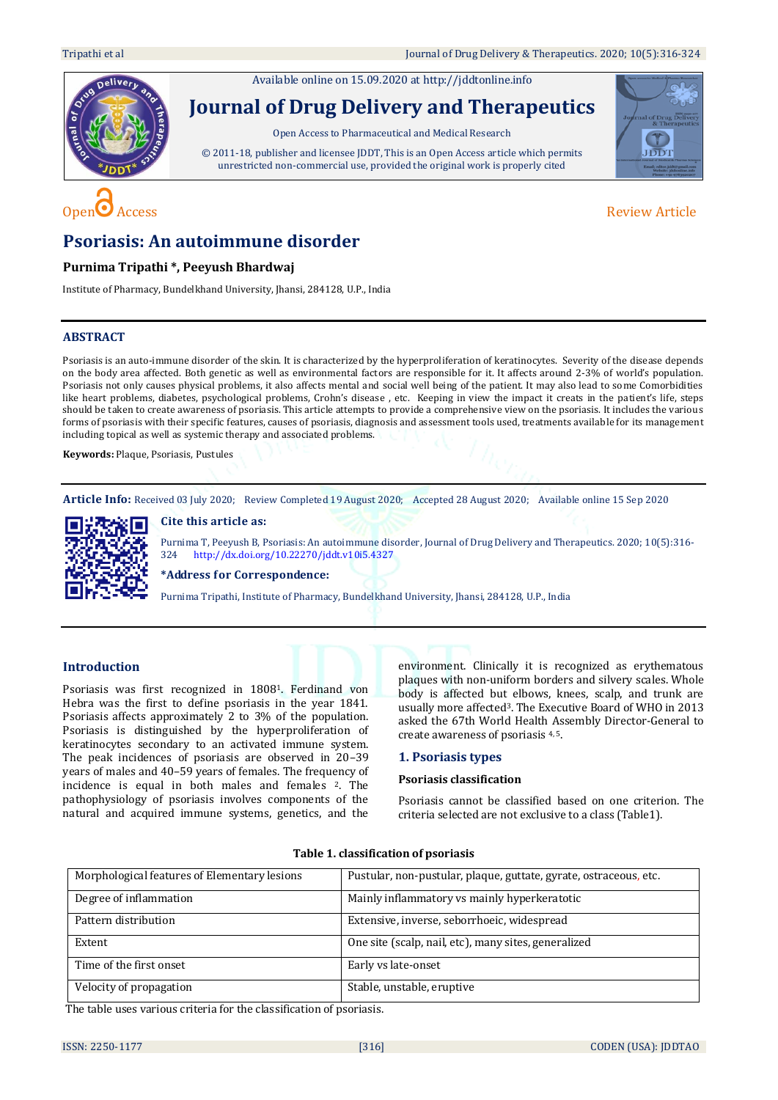Available online on 15.09.2020 a[t http://jddtonline.info](http://jddtonline.info/)





# **Psoriasis: An autoimmune disorder**

# **Purnima Tripathi \*, Peeyush Bhardwaj**

Institute of Pharmacy, Bundelkhand University, Jhansi, 284128, U.P., India

# **ABSTRACT**

Psoriasis is an auto-immune disorder of the skin. It is characterized by the hyperproliferation of keratinocytes. Severity of the disease depends on the body area affected. Both genetic as well as environmental factors are responsible for it. It affects around 2-3% of world's population. Psoriasis not only causes physical problems, it also affects mental and social well being of the patient. It may also lead to some Comorbidities like heart problems, diabetes, psychological problems, Crohn's disease , etc. Keeping in view the impact it creats in the patient's life, steps should be taken to create awareness of psoriasis. This article attempts to provide a comprehensive view on the psoriasis. It includes the various forms of psoriasis with their specific features, causes of psoriasis, diagnosis and assessment tools used, treatments available for its management including topical as well as systemic therapy and associated problems.

**Keywords:** Plaque, Psoriasis, Pustules

**Article Info:** Received 03 July 2020; Review Completed 19 August 2020; Accepted 28 August 2020; Available online 15 Sep 2020

# **Cite this article as:**



Purnima T, Peeyush B, Psoriasis: An autoimmune disorder, Journal of Drug Delivery and Therapeutics. 2020; 10(5):316- 324 <http://dx.doi.org/10.22270/jddt.v10i5.4327>

**\*Address for Correspondence:** 

Purnima Tripathi, Institute of Pharmacy, Bundelkhand University, Jhansi, 284128, U.P., India

# **Introduction**

Psoriasis was first recognized in 18081. Ferdinand von Hebra was the first to define psoriasis in the year 1841. Psoriasis affects approximately 2 to 3% of the population. Psoriasis is distinguished by the hyperproliferation of keratinocytes secondary to an activated immune system. The peak incidences of psoriasis are observed in 20–39 years of males and 40–59 years of females. The frequency of incidence is equal in both males and females <sup>2</sup>. The pathophysiology of psoriasis involves components of the natural and acquired immune systems, genetics, and the

environment. Clinically it is recognized as erythematous plaques with non-uniform borders and silvery scales. Whole body is affected but elbows, knees, scalp, and trunk are usually more affected3. The Executive Board of WHO in 2013 asked the 67th World Health Assembly Director-General to create awareness of psoriasis 4, 5.

#### **1. Psoriasis types**

## **Psoriasis classification**

Psoriasis cannot be classified based on one criterion. The criteria selected are not exclusive to a class (Table1).

| Morphological features of Elementary lesions | Pustular, non-pustular, plaque, guttate, gyrate, ostraceous, etc. |
|----------------------------------------------|-------------------------------------------------------------------|
| Degree of inflammation                       | Mainly inflammatory vs mainly hyperkeratotic                      |
| Pattern distribution                         | Extensive, inverse, seborrhoeic, widespread                       |
| Extent                                       | One site (scalp, nail, etc), many sites, generalized              |
| Time of the first onset                      | Early vs late-onset                                               |
| Velocity of propagation                      | Stable, unstable, eruptive                                        |

# **Table 1. classification of psoriasis**

The table uses various criteria for the classification of psoriasis.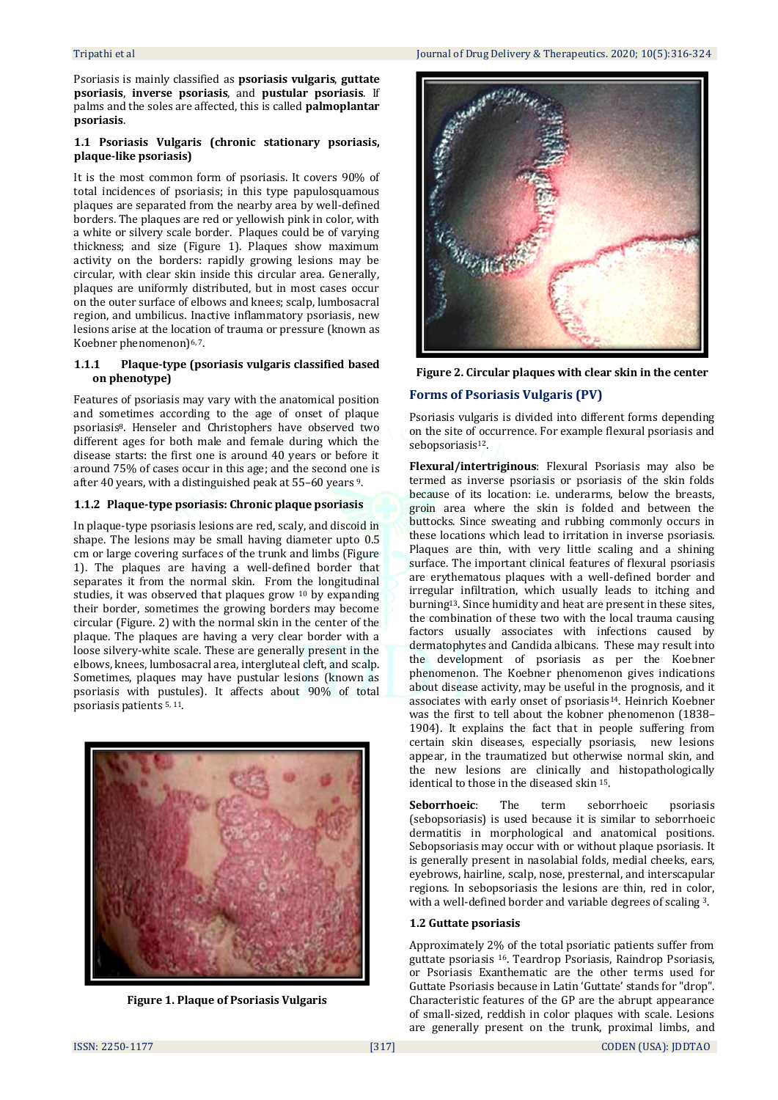Psoriasis is mainly classified as **psoriasis vulgaris**, **guttate psoriasis**, **inverse psoriasis**, and **pustular psoriasis**. If palms and the soles are affected, this is called **palmoplantar psoriasis**.

### **1.1 Psoriasis Vulgaris (chronic stationary psoriasis, plaque-like psoriasis)**

It is the most common form of psoriasis. It covers 90% of total incidences of psoriasis; in this type papulosquamous plaques are separated from the nearby area by well-defined borders. The plaques are red or yellowish pink in color, with a white or silvery scale border. Plaques could be of varying thickness; and size (Figure 1). Plaques show maximum activity on the borders: rapidly growing lesions may be circular, with clear skin inside this circular area. Generally, plaques are uniformly distributed, but in most cases occur on the outer surface of elbows and knees; scalp, lumbosacral region, and umbilicus. Inactive inflammatory psoriasis, new lesions arise at the location of trauma or pressure (known as Koebner phenomenon)<sup>6, 7</sup>.

#### **1.1.1 Plaque-type (psoriasis vulgaris classified based on phenotype)**

Features of psoriasis may vary with the anatomical position and sometimes according to the age of onset of plaque psoriasis8. Henseler and Christophers have observed two different ages for both male and female during which the disease starts: the first one is around 40 years or before it around 75% of cases occur in this age; and the second one is after 40 years, with a distinguished peak at 55–60 years 9.

## **1.1.2 Plaque-type psoriasis: Chronic plaque psoriasis**

In plaque-type psoriasis lesions are red, scaly, and discoid in shape. The lesions may be small having diameter upto 0.5 cm or large covering surfaces of the trunk and limbs (Figure 1). The plaques are having a well-defined border that separates it from the normal skin. From the longitudinal studies, it was observed that plaques grow <sup>10</sup> by expanding their border, sometimes the growing borders may become circular (Figure. 2) with the normal skin in the center of the plaque. The plaques are having a very clear border with a loose silvery-white scale. These are generally present in the elbows, knees, lumbosacral area, intergluteal cleft, and scalp. Sometimes, plaques may have pustular lesions (known as psoriasis with pustules). It affects about 90% of total psoriasis patients 5, 11.



**Figure 1. Plaque of Psoriasis Vulgaris**



**Figure 2. Circular plaques with clear skin in the center**

# **Forms of Psoriasis Vulgaris (PV)**

Psoriasis vulgaris is divided into different forms depending on the site of occurrence. For example flexural psoriasis and sebopsoriasis<sup>12</sup>.

**Flexural/intertriginous**: Flexural Psoriasis may also be termed as inverse psoriasis or psoriasis of the skin folds because of its location: i.e. underarms, below the breasts, groin area where the skin is folded and between the buttocks. Since sweating and rubbing commonly occurs in these locations which lead to irritation in inverse psoriasis. Plaques are thin, with very little scaling and a shining surface. The important clinical features of flexural psoriasis are erythematous plaques with a well-defined border and irregular infiltration, which usually leads to itching and burning13. Since humidity and heat are present in these sites, the combination of these two with the local trauma causing factors usually associates with infections caused by dermatophytes and Candida albicans. These may result into the development of psoriasis as per the Koebner phenomenon. The Koebner phenomenon gives indications about disease activity, may be useful in the prognosis, and it associates with early onset of psoriasis14. Heinrich Koebner was the first to tell about the kobner phenomenon (1838– 1904). It explains the fact that in people suffering from certain skin diseases, especially psoriasis, new lesions appear, in the traumatized but otherwise normal skin, and the new lesions are clinically and histopathologically identical to those in the diseased skin 15.

**Seborrhoeic**: The term seborrhoeic psoriasis (sebopsoriasis) is used because it is similar to seborrhoeic dermatitis in morphological and anatomical positions. Sebopsoriasis may occur with or without plaque psoriasis. It is generally present in nasolabial folds, medial cheeks, ears, eyebrows, hairline, scalp, nose, presternal, and interscapular regions. In sebopsoriasis the lesions are thin, red in color, with a well-defined border and variable degrees of scaling 3.

# **1.2 Guttate psoriasis**

Approximately 2% of the total psoriatic patients suffer from guttate psoriasis 16. Teardrop Psoriasis, Raindrop Psoriasis, or Psoriasis Exanthematic are the other terms used for Guttate Psoriasis because in Latin 'Guttate' stands for "drop". Characteristic features of the GP are the abrupt appearance of small-sized, reddish in color plaques with scale. Lesions are generally present on the trunk, proximal limbs, and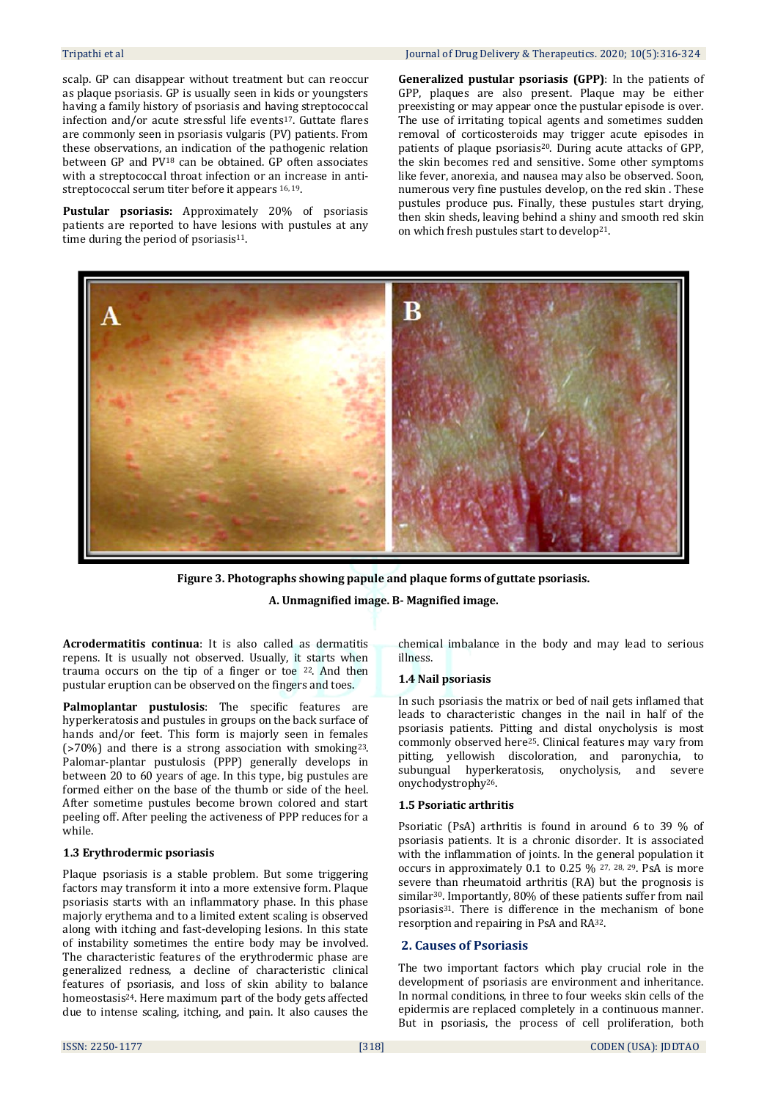scalp. GP can disappear without treatment but can reoccur as plaque psoriasis. GP is usually seen in kids or youngsters having a family history of psoriasis and having streptococcal infection and/or acute stressful life events<sup>17</sup>. Guttate flares are commonly seen in psoriasis vulgaris (PV) patients. From these observations, an indication of the pathogenic relation between GP and PV<sup>18</sup> can be obtained. GP often associates with a streptococcal throat infection or an increase in antistreptococcal serum titer before it appears 16, <sup>19</sup>.

**Pustular psoriasis:** Approximately 20% of psoriasis patients are reported to have lesions with pustules at any time during the period of psoriasis $11$ .

**Generalized pustular psoriasis (GPP)**: In the patients of GPP, plaques are also present. Plaque may be either preexisting or may appear once the pustular episode is over. The use of irritating topical agents and sometimes sudden removal of corticosteroids may trigger acute episodes in patients of plaque psoriasis<sup>20</sup>. During acute attacks of GPP, the skin becomes red and sensitive. Some other symptoms like fever, anorexia, and nausea may also be observed. Soon, numerous very fine pustules develop, on the red skin . These pustules produce pus. Finally, these pustules start drying, then skin sheds, leaving behind a shiny and smooth red skin on which fresh pustules start to develop21.



**Figure 3. Photographs showing papule and plaque forms of guttate psoriasis.**

**A. Unmagnified image. B- Magnified image.**

**Acrodermatitis continua**: It is also called as dermatitis repens. It is usually not observed. Usually, it starts when trauma occurs on the tip of a finger or toe 22. And then pustular eruption can be observed on the fingers and toes.

**Palmoplantar pustulosis**: The specific features are hyperkeratosis and pustules in groups on the back surface of hands and/or feet. This form is majorly seen in females  $($ >70%) and there is a strong association with smoking<sup>23</sup>. Palomar-plantar pustulosis (PPP) generally develops in between 20 to 60 years of age. In this type, big pustules are formed either on the base of the thumb or side of the heel. After sometime pustules become brown colored and start peeling off. After peeling the activeness of PPP reduces for a while.

# **1.3 Erythrodermic psoriasis**

Plaque psoriasis is a stable problem. But some triggering factors may transform it into a more extensive form. Plaque psoriasis starts with an inflammatory phase. In this phase majorly erythema and to a limited extent scaling is observed along with itching and fast-developing lesions. In this state of instability sometimes the entire body may be involved. The characteristic features of the erythrodermic phase are generalized redness, a decline of characteristic clinical features of psoriasis, and loss of skin ability to balance homeostasis24. Here maximum part of the body gets affected due to intense scaling, itching, and pain. It also causes the

chemical imbalance in the body and may lead to serious illness.

# **1.4 Nail psoriasis**

In such psoriasis the matrix or bed of nail gets inflamed that leads to characteristic changes in the nail in half of the psoriasis patients. Pitting and distal onycholysis is most commonly observed here25. Clinical features may vary from pitting, yellowish discoloration, and paronychia, to subungual hyperkeratosis, onycholysis, and severe onychodystrophy26.

# **1.5 Psoriatic arthritis**

Psoriatic (PsA) arthritis is found in around 6 to 39 % of psoriasis patients. It is a chronic disorder. It is associated with the inflammation of joints. In the general population it occurs in approximately 0.1 to 0.25  $\%$  27, 28, 29. PsA is more severe than rheumatoid arthritis (RA) but the prognosis is similar<sup>30</sup>. Importantly, 80% of these patients suffer from nail psoriasis31. There is difference in the mechanism of bone resorption and repairing in PsA and RA32.

# **2. Causes of Psoriasis**

The two important factors which play crucial role in the development of psoriasis are environment and inheritance. In normal conditions, in three to four weeks skin cells of the epidermis are replaced completely in a continuous manner. But in psoriasis, the process of cell proliferation, both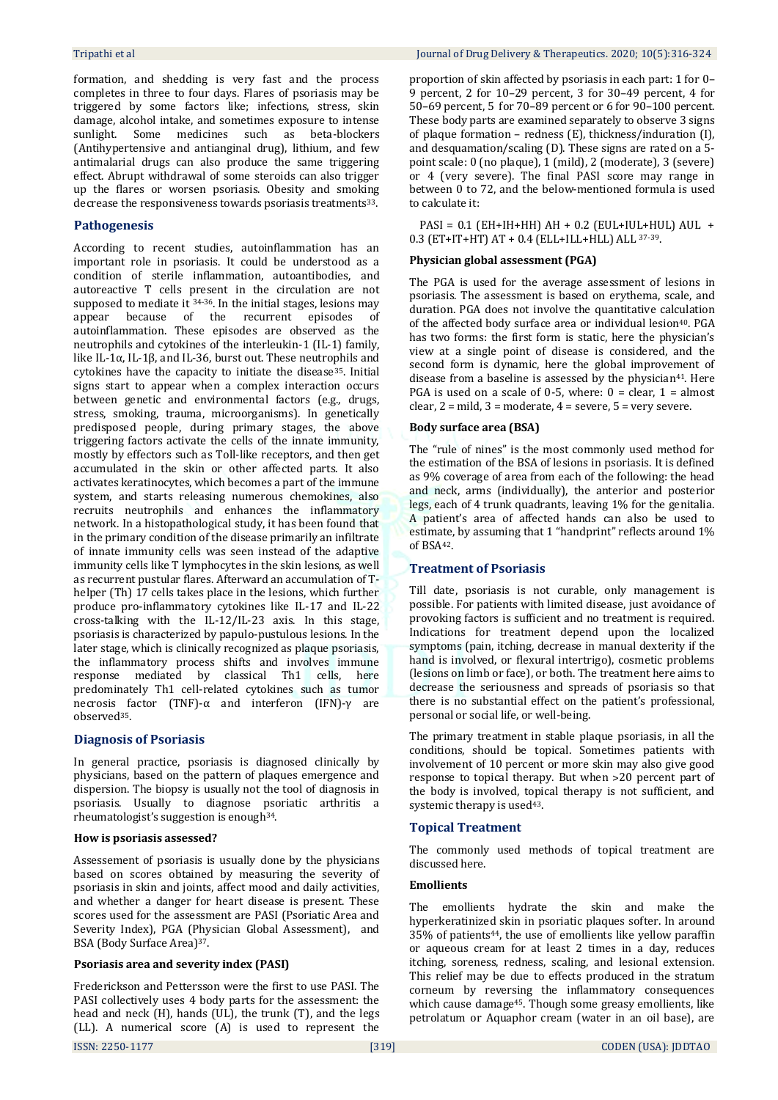formation, and shedding is very fast and the process completes in three to four days. Flares of psoriasis may be triggered by some factors like; infections, stress, skin damage, alcohol intake, and sometimes exposure to intense sunlight. Some medicines such as beta-blockers (Antihypertensive and antianginal drug), lithium, and few antimalarial drugs can also produce the same triggering effect. Abrupt withdrawal of some steroids can also trigger up the flares or worsen psoriasis. Obesity and smoking decrease the responsiveness towards psoriasis treatments33.

# **Pathogenesis**

According to recent studies, autoinflammation has an important role in psoriasis. It could be understood as a condition of sterile inflammation, autoantibodies, and autoreactive T cells present in the circulation are not supposed to mediate it 34-36. In the initial stages, lesions may appear because of the recurrent episodes of autoinflammation. These episodes are observed as the neutrophils and cytokines of the interleukin-1 (IL-1) family, like IL-1α, IL-1β, and IL-36, burst out. These neutrophils and cytokines have the capacity to initiate the disease<sup>35</sup>. Initial signs start to appear when a complex interaction occurs between genetic and environmental factors (e.g., drugs, stress, smoking, trauma, microorganisms). In genetically predisposed people, during primary stages, the above triggering factors activate the cells of the innate immunity, mostly by effectors such as Toll-like receptors, and then get accumulated in the skin or other affected parts. It also activates keratinocytes, which becomes a part of the immune system, and starts releasing numerous chemokines, also recruits neutrophils and enhances the inflammatory network. In a histopathological study, it has been found that in the primary condition of the disease primarily an infiltrate of innate immunity cells was seen instead of the adaptive immunity cells like T lymphocytes in the skin lesions, as well as recurrent pustular flares. Afterward an accumulation of Thelper (Th) 17 cells takes place in the lesions, which further produce pro-inflammatory cytokines like IL-17 and IL-22 cross-talking with the IL-12/IL-23 axis. In this stage, psoriasis is characterized by papulo-pustulous lesions. In the later stage, which is clinically recognized as plaque psoriasis, the inflammatory process shifts and involves immune response mediated by classical Th1 cells, here predominately Th1 cell-related cytokines such as tumor necrosis factor (TNF)-α and interferon (IFN)-γ are observed35.

# **Diagnosis of Psoriasis**

In general practice, psoriasis is diagnosed clinically by physicians, based on the pattern of plaques emergence and dispersion. The biopsy is usually not the tool of diagnosis in psoriasis. Usually to diagnose psoriatic arthritis a rheumatologist's suggestion is enough34.

#### **How is psoriasis assessed?**

Assessement of psoriasis is usually done by the physicians based on scores obtained by measuring the severity of psoriasis in skin and joints, affect mood and daily activities, and whether a danger for heart disease is present. These scores used for the assessment are PASI (Psoriatic Area and Severity Index), PGA (Physician Global Assessment), and BSA (Body Surface Area)37.

# **Psoriasis area and severity index (PASI)**

Frederickson and Pettersson were the first to use PASI. The PASI collectively uses 4 body parts for the assessment: the head and neck (H), hands (UL), the trunk (T), and the legs (LL). A numerical score (A) is used to represent the

proportion of skin affected by psoriasis in each part: 1 for 0– 9 percent, 2 for 10–29 percent, 3 for 30–49 percent, 4 for 50–69 percent, 5 for 70–89 percent or 6 for 90–100 percent. These body parts are examined separately to observe 3 signs of plaque formation – redness (E), thickness/induration (I), and desquamation/scaling (D). These signs are rated on a 5 point scale: 0 (no plaque), 1 (mild), 2 (moderate), 3 (severe) or 4 (very severe). The final PASI score may range in between 0 to 72, and the below-mentioned formula is used to calculate it:

 $PASI = 0.1$  (EH+IH+HH)  $AH + 0.2$  (EUL+IUL+HUL)  $AUL +$ 0.3 (ET+IT+HT) AT + 0.4 (ELL+ILL+HLL) ALL 37-39.

#### **Physician global assessment (PGA)**

The PGA is used for the average assessment of lesions in psoriasis. The assessment is based on erythema, scale, and duration. PGA does not involve the quantitative calculation of the affected body surface area or individual lesion<sup>40</sup>. PGA has two forms: the first form is static, here the physician's view at a single point of disease is considered, and the second form is dynamic, here the global improvement of disease from a baseline is assessed by the physician<sup>41</sup>. Here PGA is used on a scale of 0-5, where:  $0 =$  clear,  $1 =$  almost clear,  $2 = mid$ ,  $3 = moderate$ ,  $4 = severe$ ,  $5 = very severe$ .

#### **Body surface area (BSA)**

The "rule of nines" is the most commonly used method for the estimation of the BSA of lesions in psoriasis. It is defined as 9% coverage of area from each of the following: the head and neck, arms (individually), the anterior and posterior legs, each of 4 trunk quadrants, leaving 1% for the genitalia. A patient's area of affected hands can also be used to estimate, by assuming that 1 "handprint" reflects around 1% of BSA42.

#### **Treatment of Psoriasis**

Till date, psoriasis is not curable, only management is possible. For patients with limited disease, just avoidance of provoking factors is sufficient and no treatment is required. Indications for treatment depend upon the localized symptoms (pain, itching, decrease in manual dexterity if the hand is involved, or flexural intertrigo), cosmetic problems (lesions on limb or face), or both. The treatment here aims to decrease the seriousness and spreads of psoriasis so that there is no substantial effect on the patient's professional, personal or social life, or well-being.

The primary treatment in stable plaque psoriasis, in all the conditions, should be topical. Sometimes patients with involvement of 10 percent or more skin may also give good response to topical therapy. But when ˃20 percent part of the body is involved, topical therapy is not sufficient, and systemic therapy is used<sup>43</sup>.

#### **Topical Treatment**

The commonly used methods of topical treatment are discussed here.

# **Emollients**

The emollients hydrate the skin and make the hyperkeratinized skin in psoriatic plaques softer. In around 35% of patients44, the use of emollients like yellow paraffin or aqueous cream for at least 2 times in a day, reduces itching, soreness, redness, scaling, and lesional extension. This relief may be due to effects produced in the stratum corneum by reversing the inflammatory consequences which cause damage45. Though some greasy emollients, like petrolatum or Aquaphor cream (water in an oil base), are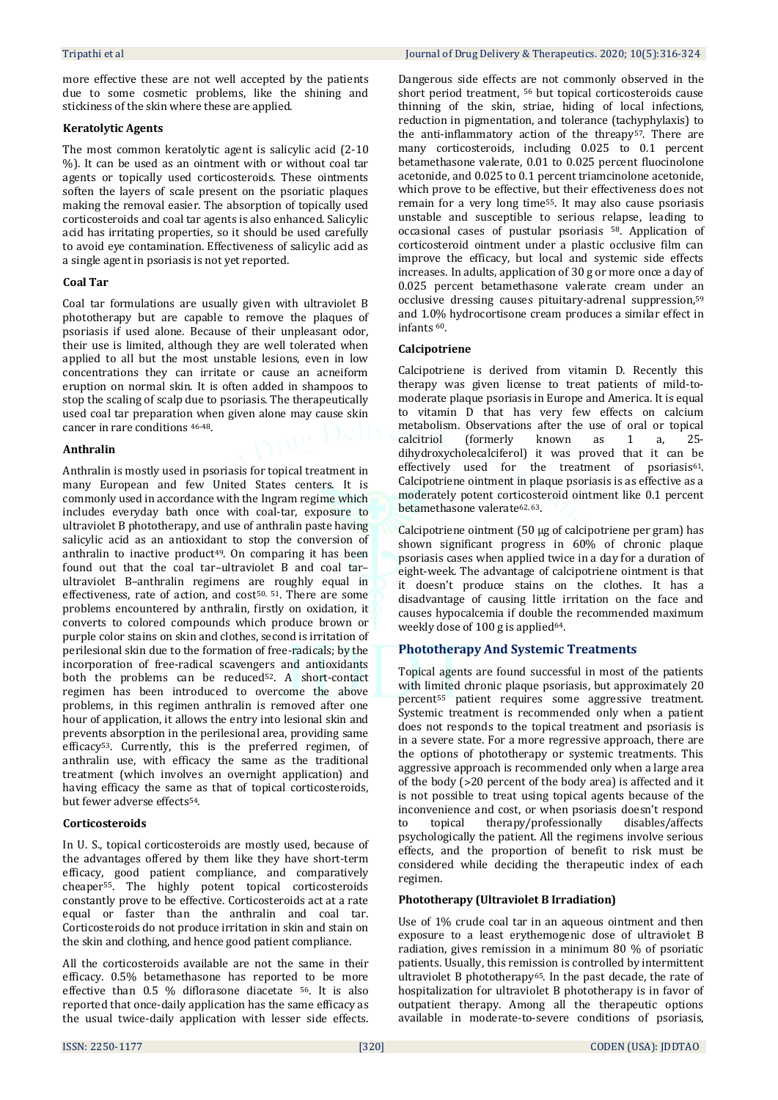more effective these are not well accepted by the patients due to some cosmetic problems, like the shining and stickiness of the skin where these are applied.

# **Keratolytic Agents**

The most common keratolytic agent is salicylic acid (2-10 %). It can be used as an ointment with or without coal tar agents or topically used corticosteroids. These ointments soften the layers of scale present on the psoriatic plaques making the removal easier. The absorption of topically used corticosteroids and coal tar agents is also enhanced. Salicylic acid has irritating properties, so it should be used carefully to avoid eye contamination. Effectiveness of salicylic acid as a single agent in psoriasis is not yet reported.

## **Coal Tar**

Coal tar formulations are usually given with ultraviolet B phototherapy but are capable to remove the plaques of psoriasis if used alone. Because of their unpleasant odor, their use is limited, although they are well tolerated when applied to all but the most unstable lesions, even in low concentrations they can irritate or cause an acneiform eruption on normal skin. It is often added in shampoos to stop the scaling of scalp due to psoriasis. The therapeutically used coal tar preparation when given alone may cause skin cancer in rare conditions 46-48.

## **Anthralin**

Anthralin is mostly used in psoriasis for topical treatment in many European and few United States centers. It is commonly used in accordance with the Ingram regime which includes everyday bath once with coal-tar, exposure to ultraviolet B phototherapy, and use of anthralin paste having salicylic acid as an antioxidant to stop the conversion of anthralin to inactive product<sup>49</sup>. On comparing it has been found out that the coal tar–ultraviolet B and coal tar– ultraviolet B–anthralin regimens are roughly equal in effectiveness, rate of action, and cost<sup>50, 51</sup>. There are some problems encountered by anthralin, firstly on oxidation, it converts to colored compounds which produce brown or purple color stains on skin and clothes, second is irritation of perilesional skin due to the formation of free-radicals; by the incorporation of free-radical scavengers and antioxidants both the problems can be reduced<sup>52</sup>. A short-contact regimen has been introduced to overcome the above problems, in this regimen anthralin is removed after one hour of application, it allows the entry into lesional skin and prevents absorption in the perilesional area, providing same efficacy53. Currently, this is the preferred regimen, of anthralin use, with efficacy the same as the traditional treatment (which involves an overnight application) and having efficacy the same as that of topical corticosteroids, but fewer adverse effects54.

# **Corticosteroids**

In U. S., topical corticosteroids are mostly used, because of the advantages offered by them like they have short-term efficacy, good patient compliance, and comparatively cheaper55. The highly potent topical corticosteroids constantly prove to be effective. Corticosteroids act at a rate equal or faster than the anthralin and coal tar. Corticosteroids do not produce irritation in skin and stain on the skin and clothing, and hence good patient compliance.

All the corticosteroids available are not the same in their efficacy. 0.5% betamethasone has reported to be more effective than 0.5 % diflorasone diacetate 56. It is also reported that once-daily application has the same efficacy as the usual twice-daily application with lesser side effects.

Dangerous side effects are not commonly observed in the short period treatment, <sup>56</sup> but topical corticosteroids cause thinning of the skin, striae, hiding of local infections, reduction in pigmentation, and tolerance (tachyphylaxis) to the anti-inflammatory action of the threapy<sup>57</sup>. There are many corticosteroids, including 0.025 to 0.1 percent betamethasone valerate, 0.01 to 0.025 percent fluocinolone acetonide, and 0.025 to 0.1 percent triamcinolone acetonide, which prove to be effective, but their effectiveness does not remain for a very long time55. It may also cause psoriasis unstable and susceptible to serious relapse, leading to occasional cases of pustular psoriasis <sup>58</sup>. Application of corticosteroid ointment under a plastic occlusive film can improve the efficacy, but local and systemic side effects increases. In adults, application of 30 g or more once a day of 0.025 percent betamethasone valerate cream under an occlusive dressing causes pituitary-adrenal suppression,<sup>59</sup> and 1.0% hydrocortisone cream produces a similar effect in infants <sup>60</sup>.

# **Calcipotriene**

Calcipotriene is derived from vitamin D. Recently this therapy was given license to treat patients of mild-tomoderate plaque psoriasis in Europe and America. It is equal to vitamin D that has very few effects on calcium metabolism. Observations after the use of oral or topical calcitriol (formerly known as 1 a, 25 dihydroxycholecalciferol) it was proved that it can be effectively used for the treatment of psoriasis<sup>61</sup>. Calcipotriene ointment in plaque psoriasis is as effective as a moderately potent corticosteroid ointment like 0.1 percent betamethasone valerate62, 63.

Calcipotriene ointment (50 μg of calcipotriene per gram) has shown significant progress in 60% of chronic plaque psoriasis cases when applied twice in a day for a duration of eight-week. The advantage of calcipotriene ointment is that it doesn't produce stains on the clothes. It has a disadvantage of causing little irritation on the face and causes hypocalcemia if double the recommended maximum weekly dose of 100 g is applied<sup>64</sup>.

# **Phototherapy And Systemic Treatments**

Topical agents are found successful in most of the patients with limited chronic plaque psoriasis, but approximately 20 percent<sup>55</sup> patient requires some aggressive treatment. Systemic treatment is recommended only when a patient does not responds to the topical treatment and psoriasis is in a severe state. For a more regressive approach, there are the options of phototherapy or systemic treatments. This aggressive approach is recommended only when a large area of the body (˃20 percent of the body area) is affected and it is not possible to treat using topical agents because of the inconvenience and cost, or when psoriasis doesn't respond to topical therapy/professionally disables/affects psychologically the patient. All the regimens involve serious effects, and the proportion of benefit to risk must be considered while deciding the therapeutic index of each regimen.

# **Phototherapy (Ultraviolet B Irradiation)**

Use of 1% crude coal tar in an aqueous ointment and then exposure to a least erythemogenic dose of ultraviolet B radiation, gives remission in a minimum 80 % of psoriatic patients. Usually, this remission is controlled by intermittent ultraviolet B phototherapy<sup>65</sup>. In the past decade, the rate of hospitalization for ultraviolet B phototherapy is in favor of outpatient therapy. Among all the therapeutic options available in moderate-to-severe conditions of psoriasis,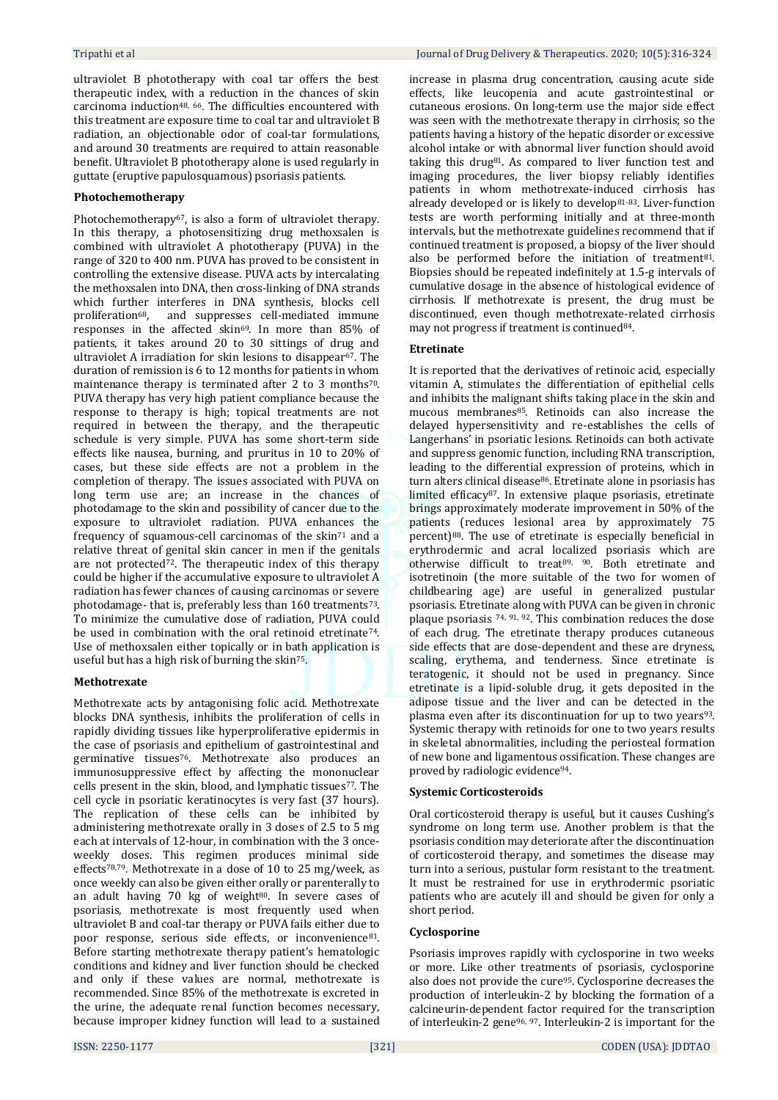ultraviolet B phototherapy with coal tar offers the best therapeutic index, with a reduction in the chances of skin carcinoma induction48, 66. The difficulties encountered with this treatment are exposure time to coal tar and ultraviolet B radiation, an objectionable odor of coal-tar formulations, and around 30 treatments are required to attain reasonable benefit. Ultraviolet B phototherapy alone is used regularly in guttate (eruptive papulosquamous) psoriasis patients.

## **Photochemotherapy**

Photochemotherapy<sup>67</sup>, is also a form of ultraviolet therapy. In this therapy, a photosensitizing drug methoxsalen is combined with ultraviolet A phototherapy (PUVA) in the range of 320 to 400 nm. PUVA has proved to be consistent in controlling the extensive disease. PUVA acts by intercalating the methoxsalen into DNA, then cross-linking of DNA strands which further interferes in DNA synthesis, blocks cell proliferation68, and suppresses cell-mediated immune responses in the affected skin69. In more than 85% of patients, it takes around 20 to 30 sittings of drug and ultraviolet A irradiation for skin lesions to disappear67. The duration of remission is 6 to 12 months for patients in whom maintenance therapy is terminated after 2 to 3 months<sup>70</sup>. PUVA therapy has very high patient compliance because the response to therapy is high; topical treatments are not required in between the therapy, and the therapeutic schedule is very simple. PUVA has some short-term side effects like nausea, burning, and pruritus in 10 to 20% of cases, but these side effects are not a problem in the completion of therapy. The issues associated with PUVA on long term use are; an increase in the chances of photodamage to the skin and possibility of cancer due to the exposure to ultraviolet radiation. PUVA enhances the frequency of squamous-cell carcinomas of the skin<sup>71</sup> and a relative threat of genital skin cancer in men if the genitals are not protected<sup>72</sup>. The therapeutic index of this therapy could be higher if the accumulative exposure to ultraviolet A radiation has fewer chances of causing carcinomas or severe photodamage- that is, preferably less than 160 treatments73. To minimize the cumulative dose of radiation, PUVA could be used in combination with the oral retinoid etretinate74. Use of methoxsalen either topically or in bath application is useful but has a high risk of burning the skin75.

#### **Methotrexate**

Methotrexate acts by antagonising folic acid. Methotrexate blocks DNA synthesis, inhibits the proliferation of cells in rapidly dividing tissues like hyperproliferative epidermis in the case of psoriasis and epithelium of gastrointestinal and germinative tissues76. Methotrexate also produces an immunosuppressive effect by affecting the mononuclear cells present in the skin, blood, and lymphatic tissues77. The cell cycle in psoriatic keratinocytes is very fast (37 hours). The replication of these cells can be inhibited by administering methotrexate orally in 3 doses of 2.5 to 5 mg each at intervals of 12-hour, in combination with the 3 onceweekly doses. This regimen produces minimal side effects78,79. Methotrexate in a dose of 10 to 25 mg/week, as once weekly can also be given either orally or parenterally to an adult having 70 kg of weight $80$ . In severe cases of psoriasis, methotrexate is most frequently used when ultraviolet B and coal-tar therapy or PUVA fails either due to poor response, serious side effects, or inconvenience<sup>81</sup>. Before starting methotrexate therapy patient's hematologic conditions and kidney and liver function should be checked and only if these values are normal, methotrexate is recommended. Since 85% of the methotrexate is excreted in the urine, the adequate renal function becomes necessary, because improper kidney function will lead to a sustained

increase in plasma drug concentration, causing acute side effects, like leucopenia and acute gastrointestinal or cutaneous erosions. On long-term use the major side effect was seen with the methotrexate therapy in cirrhosis; so the patients having a history of the hepatic disorder or excessive alcohol intake or with abnormal liver function should avoid taking this drug81. As compared to liver function test and imaging procedures, the liver biopsy reliably identifies patients in whom methotrexate-induced cirrhosis has already developed or is likely to develop81-83. Liver-function tests are worth performing initially and at three-month intervals, but the methotrexate guidelines recommend that if continued treatment is proposed, a biopsy of the liver should also be performed before the initiation of treatment<sup>81</sup>. Biopsies should be repeated indefinitely at 1.5-g intervals of cumulative dosage in the absence of histological evidence of cirrhosis. If methotrexate is present, the drug must be discontinued, even though methotrexate-related cirrhosis may not progress if treatment is continued<sup>84</sup>.

## **Etretinate**

It is reported that the derivatives of retinoic acid, especially vitamin A, stimulates the differentiation of epithelial cells and inhibits the malignant shifts taking place in the skin and mucous membranes<sup>85</sup>. Retinoids can also increase the delayed hypersensitivity and re-establishes the cells of Langerhans' in psoriatic lesions. Retinoids can both activate and suppress genomic function, including RNA transcription, leading to the differential expression of proteins, which in turn alters clinical disease86. Etretinate alone in psoriasis has limited efficacy87. In extensive plaque psoriasis, etretinate brings approximately moderate improvement in 50% of the patients (reduces lesional area by approximately 75 percent)88. The use of etretinate is especially beneficial in erythrodermic and acral localized psoriasis which are otherwise difficult to treat89, 90. Both etretinate and isotretinoin (the more suitable of the two for women of childbearing age) are useful in generalized pustular psoriasis. Etretinate along with PUVA can be given in chronic plaque psoriasis 74, 91, 92. This combination reduces the dose of each drug. The etretinate therapy produces cutaneous side effects that are dose-dependent and these are dryness, scaling, erythema, and tenderness. Since etretinate is teratogenic, it should not be used in pregnancy. Since etretinate is a lipid-soluble drug, it gets deposited in the adipose tissue and the liver and can be detected in the plasma even after its discontinuation for up to two years<sup>93</sup>. Systemic therapy with retinoids for one to two years results in skeletal abnormalities, including the periosteal formation of new bone and ligamentous ossification. These changes are proved by radiologic evidence94.

#### **Systemic Corticosteroids**

Oral corticosteroid therapy is useful, but it causes Cushing's syndrome on long term use. Another problem is that the psoriasis condition may deteriorate after the discontinuation of corticosteroid therapy, and sometimes the disease may turn into a serious, pustular form resistant to the treatment. It must be restrained for use in erythrodermic psoriatic patients who are acutely ill and should be given for only a short period.

#### **Cyclosporine**

Psoriasis improves rapidly with cyclosporine in two weeks or more. Like other treatments of psoriasis, cyclosporine also does not provide the cure95. Cyclosporine decreases the production of interleukin-2 by blocking the formation of a calcineurin-dependent factor required for the transcription of interleukin-2 gene96, 97. Interleukin-2 is important for the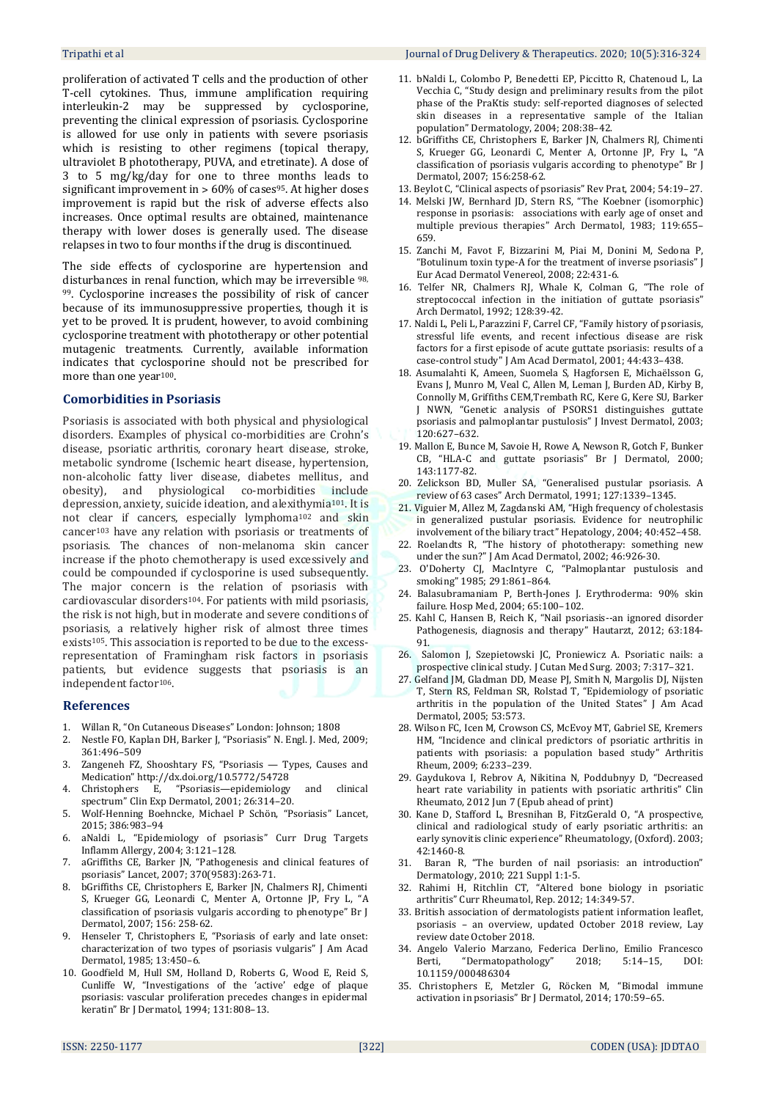proliferation of activated T cells and the production of other T-cell cytokines. Thus, immune amplification requiring interleukin-2 may be suppressed by cyclosporine, preventing the clinical expression of psoriasis. Cyclosporine is allowed for use only in patients with severe psoriasis which is resisting to other regimens (topical therapy, ultraviolet B phototherapy, PUVA, and etretinate). A dose of 3 to 5 mg/kg/day for one to three months leads to significant improvement in  $> 60\%$  of cases<sup>95</sup>. At higher doses improvement is rapid but the risk of adverse effects also increases. Once optimal results are obtained, maintenance therapy with lower doses is generally used. The disease relapses in two to four months if the drug is discontinued.

The side effects of cyclosporine are hypertension and disturbances in renal function, which may be irreversible 98, <sup>99</sup>. Cyclosporine increases the possibility of risk of cancer because of its immunosuppressive properties, though it is yet to be proved. It is prudent, however, to avoid combining cyclosporine treatment with phototherapy or other potential mutagenic treatments. Currently, available information indicates that cyclosporine should not be prescribed for more than one year100.

#### **Comorbidities in Psoriasis**

Psoriasis is associated with both physical and physiological disorders. Examples of physical co-morbidities are Crohn's disease, psoriatic arthritis, coronary heart disease, stroke, metabolic syndrome (Ischemic heart disease, hypertension, non-alcoholic fatty liver disease, diabetes mellitus, and obesity), and physiological co-morbidities include depression, anxiety, suicide ideation, and alexithymia<sup>101</sup>. It is not clear if cancers, especially lymphoma<sup>102</sup> and skin cancer<sup>103</sup> have any relation with psoriasis or treatments of psoriasis. The chances of non-melanoma skin cancer increase if the photo chemotherapy is used excessively and could be compounded if cyclosporine is used subsequently. The major concern is the relation of psoriasis with cardiovascular disorders104. For patients with mild psoriasis, the risk is not high, but in moderate and severe conditions of psoriasis, a relatively higher risk of almost three times exists<sup>105</sup>. This association is reported to be due to the excessrepresentation of Framingham risk factors in psoriasis patients, but evidence suggests that psoriasis is an independent factor106.

#### **References**

- 1. Willan R, "On Cutaneous Diseases" London: Johnson; 1808
- 2. Nestle FO, Kaplan DH, Barker J, "Psoriasis" N. Engl. J. Med, 2009; 361:496–509
- 3. Zangeneh FZ, Shooshtary FS, "Psoriasis Types, Causes and Medication" <http://dx.doi.org/10.5772/54728>
- 4. Christophers E, "Psoriasis—epidemiology and clinical spectrum" Clin Exp Dermatol, 2001; 26:314–20.
- 5. Wolf-Henning Boehncke, Michael P Schön, "Psoriasis" Lancet, 2015; 386:983–94
- 6. aNaldi L, "Epidemiology of psoriasis" Curr Drug Targets Inflamm Allergy, 2004; 3:121–128.
- 7. aGriffiths CE, Barker JN, "Pathogenesis and clinical features of psoriasis" Lancet, 2007; 370(9583):263-71.
- 8. bGriffiths CE, Christophers E, Barker JN, Chalmers RJ, Chimenti S, Krueger GG, Leonardi C, Menter A, Ortonne JP, Fry L, "A classification of psoriasis vulgaris according to phenotype" Br J Dermatol, 2007; 156: 258-62.
- 9. Henseler T, Christophers E, "Psoriasis of early and late onset: characterization of two types of psoriasis vulgaris" J Am Acad Dermatol, 1985; 13:450–6.
- 10. Goodfield M, Hull SM, Holland D, Roberts G, Wood E, Reid S, Cunliffe W, "Investigations of the 'active' edge of plaque psoriasis: vascular proliferation precedes changes in epidermal keratin" Br J Dermatol, 1994; 131:808–13.
- 11. bNaldi L, Colombo P, Benedetti EP, Piccitto R, Chatenoud L, La Vecchia C, "Study design and preliminary results from the pilot phase of the PraKtis study: self-reported diagnoses of selected skin diseases in a representative sample of the Italian population" Dermatology, 2004; 208:38–42.
- 12. bGriffiths CE, Christophers E, Barker JN, Chalmers RJ, Chimenti S, Krueger GG, Leonardi C, Menter A, Ortonne JP, Fry L, "A classification of psoriasis vulgaris according to phenotype" Br J Dermatol, 2007; 156:258-62.
- 13. Beylot C, "Clinical aspects of psoriasis" Rev Prat, 2004; 54:19–27.
- 14. Melski JW, Bernhard JD, Stern RS, "The Koebner (isomorphic) response in psoriasis: associations with early age of onset and multiple previous therapies" Arch Dermatol, 1983; 119:655– 659.
- 15. Zanchi M, Favot F, Bizzarini M, Piai M, Donini M, Sedona P, "Botulinum toxin type-A for the treatment of inverse psoriasis" J Eur Acad Dermatol Venereol, 2008; 22:431-6.
- 16. Telfer NR, Chalmers RJ, Whale K, Colman G, "The role of streptococcal infection in the initiation of guttate psoriasis" Arch Dermatol, 1992; 128:39-42.
- 17. Naldi L, Peli L, Parazzini F, Carrel CF, "Family history of psoriasis, stressful life events, and recent infectious disease are risk factors for a first episode of acute guttate psoriasis: results of a case-control study" J Am Acad Dermatol, 2001; 44:433–438.
- 18. Asumalahti K, Ameen, Suomela S, Hagforsen E, Michaëlsson G, Evans J, Munro M, Veal C, Allen M, Leman J, Burden AD, Kirby B, Connolly M, Griffiths CEM,Trembath RC, Kere G, Kere SU, Barker J NWN, "Genetic analysis of PSORS1 distinguishes guttate psoriasis and palmoplantar pustulosis" J Invest Dermatol, 2003; 120:627–632.
- 19. Mallon E, Bunce M, Savoie H, Rowe A, Newson R, Gotch F, Bunker CB, "HLA-C and guttate psoriasis" Br J Dermatol, 2000; 143:1177-82.
- 20. Zelickson BD, Muller SA, "Generalised pustular psoriasis. A review of 63 cases" Arch Dermatol, 1991; 127:1339–1345.
- 21. Viguier M, Allez M, Zagdanski AM, "High frequency of cholestasis in generalized pustular psoriasis. Evidence for neutrophilic involvement of the biliary tract" Hepatology, 2004; 40:452–458.
- 22. Roelandts R, "The history of phototherapy: something new under the sun?" J Am Acad Dermatol, 2002; 46:926-30.
- 23. O'Doherty CJ, MacIntyre C, "Palmoplantar pustulosis and smoking" 1985; 291:861–864.
- 24. Balasubramaniam P, Berth-Jones J. Erythroderma: 90% skin failure. Hosp Med, 2004; 65:100–102.
- 25. Kahl C, Hansen B, Reich K, "Nail psoriasis--an ignored disorder Pathogenesis, diagnosis and therapy" Hautarzt, 2012; 63:184- 91.
- 26. Salomon J, Szepietowski JC, Proniewicz A. Psoriatic nails: a prospective clinical study. J Cutan Med Surg. 2003; 7:317–321.
- 27. Gelfand JM, Gladman DD, Mease PJ, Smith N, Margolis DJ, Nijsten T, Stern RS, Feldman SR, Rolstad T, "Epidemiology of psoriatic arthritis in the population of the United States" J Am Acad Dermatol, 2005; 53:573.
- 28. Wilson FC, Icen M, Crowson CS, McEvoy MT, Gabriel SE, Kremers HM, "Incidence and clinical predictors of psoriatic arthritis in patients with psoriasis: a population based study" Arthritis Rheum, 2009; 6:233–239.
- 29. Gaydukova I, Rebrov A, Nikitina N, Poddubnyy D, "Decreased heart rate variability in patients with psoriatic arthritis" Clin Rheumato, 2012 Jun 7 (Epub ahead of print)
- 30. Kane D, Stafford L, Bresnihan B, FitzGerald O, "A prospective, clinical and radiological study of early psoriatic arthritis: an early synovitis clinic experience" Rheumatology, (Oxford). 2003; 42:1460-8.
- 31. Baran R, "The burden of nail psoriasis: an introduction" Dermatology, 2010; 221 Suppl 1:1-5.
- 32. Rahimi H, Ritchlin CT, "Altered bone biology in psoriatic arthritis" Curr Rheumatol, Rep. 2012; 14:349-57.
- 33. British association of dermatologists patient information leaflet, psoriasis – an overview, updated October 2018 review, Lay review date October 2018.
- 34. Angelo Valerio Marzano, Federica Derlino, Emilio Francesco Berti, "Dermatopathology" 2018; 5:14–15, DOI: 10.1159/000486304
- 35. Christophers E, Metzler G, Röcken M, "Bimodal immune activation in psoriasis" Br J Dermatol, 2014; 170:59–65.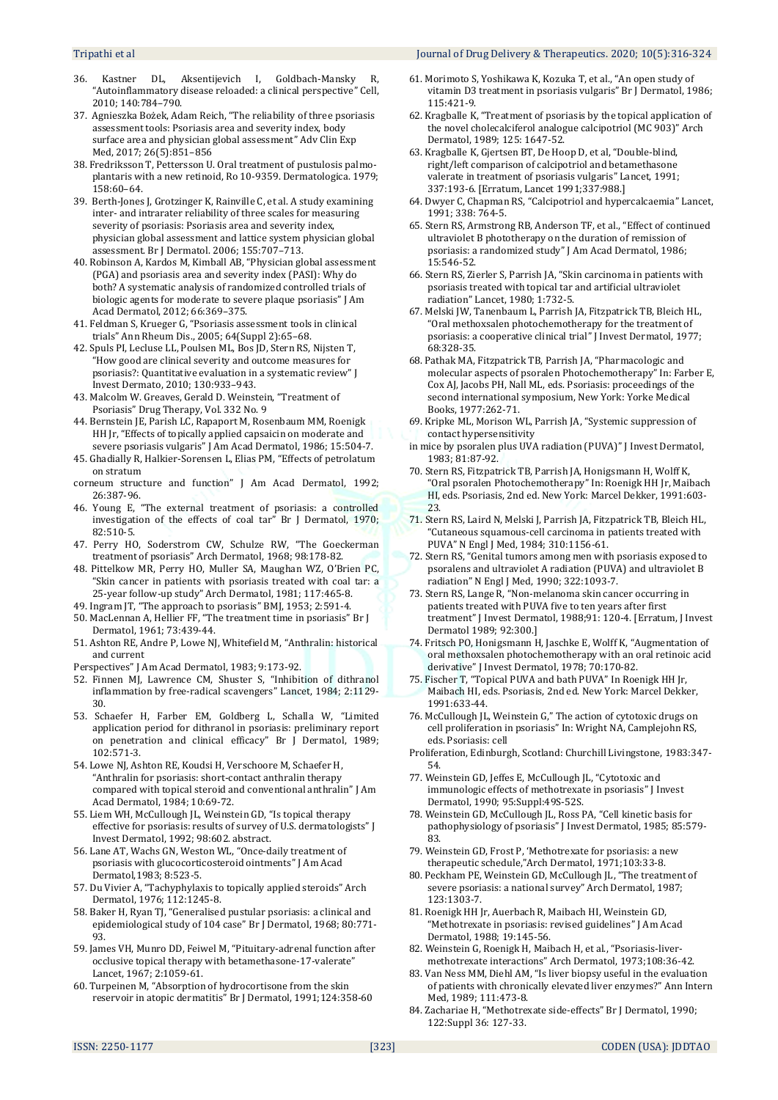#### Tripathi et al Journal of Drug Delivery & Therapeutics. 2020; 10(5):316-324

- 36. Kastner DL, Aksentijevich I, Goldbach-Mansky R, "Autoinflammatory disease reloaded: a clinical perspective" Cell, 2010; 140:784–790.
- 37. Agnieszka Bożek, Adam Reich, "The reliability of three psoriasis assessment tools: Psoriasis area and severity index, body surface area and physician global assessment" Adv Clin Exp Med, 2017; 26(5):851–856
- 38. Fredriksson T, Pettersson U. Oral treatment of pustulosis palmoplantaris with a new retinoid, Ro 10-9359. Dermatologica. 1979; 158:60–64.
- 39. Berth-Jones J, Grotzinger K, Rainville C, et al. A study examining inter- and intrarater reliability of three scales for measuring severity of psoriasis: Psoriasis area and severity index, physician global assessment and lattice system physician global assessment. Br J Dermatol. 2006; 155:707–713.
- 40. Robinson A, Kardos M, Kimball AB, "Physician global assessment (PGA) and psoriasis area and severity index (PASI): Why do both? A systematic analysis of randomized controlled trials of biologic agents for moderate to severe plaque psoriasis" J Am Acad Dermatol, 2012; 66:369–375.
- 41. Feldman S, Krueger G, "Psoriasis assessment tools in clinical trials" Ann Rheum Dis., 2005; 64(Suppl 2):65–68.
- 42. Spuls PI, Lecluse LL, Poulsen ML, Bos JD, Stern RS, Nijsten T, "How good are clinical severity and outcome measures for psoriasis?: Quantitative evaluation in a systematic review" J Invest Dermato, 2010; 130:933–943.
- 43. Malcolm W. Greaves, Gerald D. Weinstein, "Treatment of Psoriasis" Drug Therapy, Vol. 332 No. 9
- 44. Bernstein JE, Parish LC, Rapaport M, Rosenbaum MM, Roenigk HH Jr, "Effects of topically applied capsaicin on moderate and severe psoriasis vulgaris" J Am Acad Dermatol, 1986; 15:504-7.
- 45. Ghadially R, Halkier-Sorensen L, Elias PM, "Effects of petrolatum on stratum
- corneum structure and function" J Am Acad Dermatol, 1992; 26:387-96.
- 46. Young E, "The external treatment of psoriasis: a controlled investigation of the effects of coal tar" Br J Dermatol, 1970; 82:510-5.
- 47. Perry HO, Soderstrom CW, Schulze RW, "The Goeckerman treatment of psoriasis" Arch Dermatol, 1968; 98:178-82.
- 48. Pittelkow MR, Perry HO, Muller SA, Maughan WZ, O'Brien PC, "Skin cancer in patients with psoriasis treated with coal tar: a 25-year follow-up study" Arch Dermatol, 1981; 117:465-8.
- 49. Ingram JT, "The approach to psoriasis" BMJ, 1953; 2:591-4.
- 50. MacLennan A, Hellier FF, "The treatment time in psoriasis" Br J Dermatol, 1961; 73:439-44.
- 51. Ashton RE, Andre P, Lowe NJ, Whitefield M, "Anthralin: historical and current
- Perspectives" J Am Acad Dermatol, 1983; 9:173-92.
- 52. Finnen MJ, Lawrence CM, Shuster S, "Inhibition of dithranol inflammation by free-radical scavengers" Lancet, 1984; 2:1129- 30.
- 53. Schaefer H, Farber EM, Goldberg L, Schalla W, "Limited application period for dithranol in psoriasis: preliminary report on penetration and clinical efficacy" Br J Dermatol, 1989; 102:571-3.
- 54. Lowe NJ, Ashton RE, Koudsi H, Verschoore M, Schaefer H, "Anthralin for psoriasis: short-contact anthralin therapy compared with topical steroid and conventional anthralin" J Am Acad Dermatol, 1984; 10:69-72.
- 55. Liem WH, McCullough JL, Weinstein GD, "Is topical therapy effective for psoriasis: results of survey of U.S. dermatologists" J Invest Dermatol, 1992; 98:602. abstract.
- 56. Lane AT, Wachs GN, Weston WL, "Once-daily treatment of psoriasis with glucocorticosteroid ointments" J Am Acad Dermatol,1983; 8:523-5.
- 57. Du Vivier A, "Tachyphylaxis to topically applied steroids" Arch Dermatol, 1976; 112:1245-8.
- 58. Baker H, Ryan TJ, "Generalised pustular psoriasis: a clinical and epidemiological study of 104 case" Br J Dermatol, 1968; 80:771- 93.
- 59. James VH, Munro DD, Feiwel M, "Pituitary-adrenal function after occlusive topical therapy with betamethasone-17-valerate" Lancet, 1967; 2:1059-61.
- 60. Turpeinen M, "Absorption of hydrocortisone from the skin reservoir in atopic dermatitis" Br J Dermatol, 1991;124:358-60
- 61. Morimoto S, Yoshikawa K, Kozuka T, et al., "An open study of vitamin D3 treatment in psoriasis vulgaris" Br J Dermatol, 1986; 115:421-9.
- 62. Kragballe K, "Treatment of psoriasis by the topical application of the novel cholecalciferol analogue calcipotriol (MC 903)" Arch Dermatol, 1989; 125: 1647-52.
- 63. Kragballe K, Gjertsen BT, De Hoop D, et al, "Double-blind, right/left comparison of calcipotriol and betamethasone valerate in treatment of psoriasis vulgaris" Lancet, 1991; 337:193-6. [Erratum, Lancet 1991;337:988.]
- 64. Dwyer C, Chapman RS, "Calcipotriol and hypercalcaemia" Lancet, 1991; 338: 764-5.
- 65. Stern RS, Armstrong RB, Anderson TF, et al., "Effect of continued ultraviolet B phototherapy on the duration of remission of psoriasis: a randomized study" J Am Acad Dermatol, 1986; 15:546-52.
- 66. Stern RS, Zierler S, Parrish JA, "Skin carcinoma in patients with psoriasis treated with topical tar and artificial ultraviolet radiation" Lancet, 1980; 1:732-5.
- 67. Melski JW, Tanenbaum L, Parrish JA, Fitzpatrick TB, Bleich HL, "Oral methoxsalen photochemotherapy for the treatment of psoriasis: a cooperative clinical trial" J Invest Dermatol, 1977; 68:328-35.
- 68. Pathak MA, Fitzpatrick TB, Parrish JA, "Pharmacologic and molecular aspects of psoralen Photochemotherapy" In: Farber E, Cox AJ, Jacobs PH, Nall ML, eds. Psoriasis: proceedings of the second international symposium, New York: Yorke Medical Books, 1977:262-71.
- 69. Kripke ML, Morison WL, Parrish JA, "Systemic suppression of contact hypersensitivity
- in mice by psoralen plus UVA radiation (PUVA)" J Invest Dermatol, 1983; 81:87-92.
- 70. Stern RS, Fitzpatrick TB, Parrish JA, Honigsmann H, Wolff K, "Oral psoralen Photochemotherapy" In: Roenigk HH Jr, Maibach HI, eds. Psoriasis, 2nd ed. New York: Marcel Dekker, 1991:603- 23.
- 71. Stern RS, Laird N, Melski J, Parrish JA, Fitzpatrick TB, Bleich HL, "Cutaneous squamous-cell carcinoma in patients treated with PUVA" N Engl J Med, 1984; 310:1156-61.
- 72. Stern RS, "Genital tumors among men with psoriasis exposed to psoralens and ultraviolet A radiation (PUVA) and ultraviolet B radiation" N Engl J Med, 1990; 322:1093-7.
- 73. Stern RS, Lange R, "Non-melanoma skin cancer occurring in patients treated with PUVA five to ten years after first treatment" J Invest Dermatol, 1988;91: 120-4. [Erratum, J Invest Dermatol 1989; 92:300.]
- 74. Fritsch PO, Honigsmann H, Jaschke E, Wolff K, "Augmentation of oral methoxsalen photochemotherapy with an oral retinoic acid derivative" J Invest Dermatol, 1978; 70:170-82.
- 75. Fischer T, "Topical PUVA and bath PUVA" In Roenigk HH Jr, Maibach HI, eds. Psoriasis, 2nd ed. New York: Marcel Dekker, 1991:633-44.
- 76. McCullough JL, Weinstein G," The action of cytotoxic drugs on cell proliferation in psoriasis" In: Wright NA, Camplejohn RS, eds. Psoriasis: cell
- Proliferation, Edinburgh, Scotland: Churchill Livingstone, 1983:347- 54.
- 77. Weinstein GD, Jeffes E, McCullough JL, "Cytotoxic and immunologic effects of methotrexate in psoriasis" J Invest Dermatol, 1990; 95:Suppl:49S-52S.
- 78. Weinstein GD, McCullough JL, Ross PA, "Cell kinetic basis for pathophysiology of psoriasis" J Invest Dermatol, 1985; 85:579- 83.
- 79. Weinstein GD, Frost P, 'Methotrexate for psoriasis: a new therapeutic schedule,"Arch Dermatol, 1971;103:33-8.
- 80. Peckham PE, Weinstein GD, McCullough JL, "The treatment of severe psoriasis: a national survey" Arch Dermatol, 1987; 123:1303-7.
- 81. Roenigk HH Jr, Auerbach R, Maibach HI, Weinstein GD, "Methotrexate in psoriasis: revised guidelines" J Am Acad Dermatol, 1988; 19:145-56.
- 82. Weinstein G, Roenigk H, Maibach H, et al., "Psoriasis-livermethotrexate interactions" Arch Dermatol, 1973;108:36-42.
- 83. Van Ness MM, Diehl AM, "Is liver biopsy useful in the evaluation of patients with chronically elevated liver enzymes?" Ann Intern Med, 1989; 111:473-8.
- 84. Zachariae H, "Methotrexate side-effects" Br J Dermatol, 1990; 122:Suppl 36: 127-33.